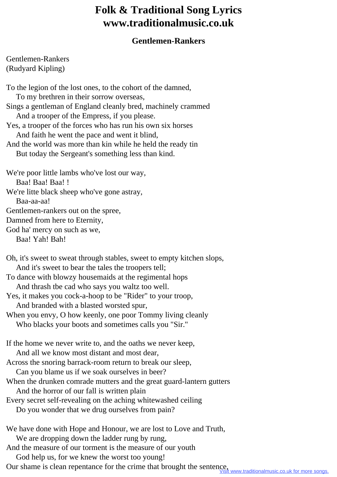## **Folk & Traditional Song Lyrics www.traditionalmusic.co.uk**

## **Gentlemen-Rankers**

Gentlemen-Rankers (Rudyard Kipling)

To the legion of the lost ones, to the cohort of the damned, To my brethren in their sorrow overseas, Sings a gentleman of England cleanly bred, machinely crammed And a trooper of the Empress, if you please. Yes, a trooper of the forces who has run his own six horses And faith he went the pace and went it blind, And the world was more than kin while he held the ready tin But today the Sergeant's something less than kind. We're poor little lambs who've lost our way, Baa! Baa! Baa! ! We're litte black sheep who've gone astray, Baa-aa-aa! Gentlemen-rankers out on the spree, Damned from here to Eternity, God ha' mercy on such as we, Baa! Yah! Bah!

Oh, it's sweet to sweat through stables, sweet to empty kitchen slops, And it's sweet to bear the tales the troopers tell;

To dance with blowzy housemaids at the regimental hops And thrash tbe cad who says you waltz too well.

- Yes, it makes you cock-a-hoop to be "Rider" to your troop, And branded with a blasted worsted spur,
- When you envy, O how keenly, one poor Tommy living cleanly Who blacks your boots and sometimes calls you "Sir."

If the home we never write to, and the oaths we never keep, And all we know most distant and most dear, Across the snoring barrack-room return to break our sleep, Can you blame us if we soak ourselves in beer?

- When the drunken comrade mutters and the great guard-lantern gutters And the horror of our fall is written plain
- Every secret self-revealing on the aching whitewashed ceiling
	- Do you wonder that we drug ourselves from pain?

We have done with Hope and Honour, we are lost to Love and Truth, We are dropping down the ladder rung by rung, And the measure of our torment is the measure of our youth

God help us, for we knew the worst too young!

Our shame is clean repentance for the crime that brought the sentence,<br>Visit www.traditionalmusic.co.uk for more songs.